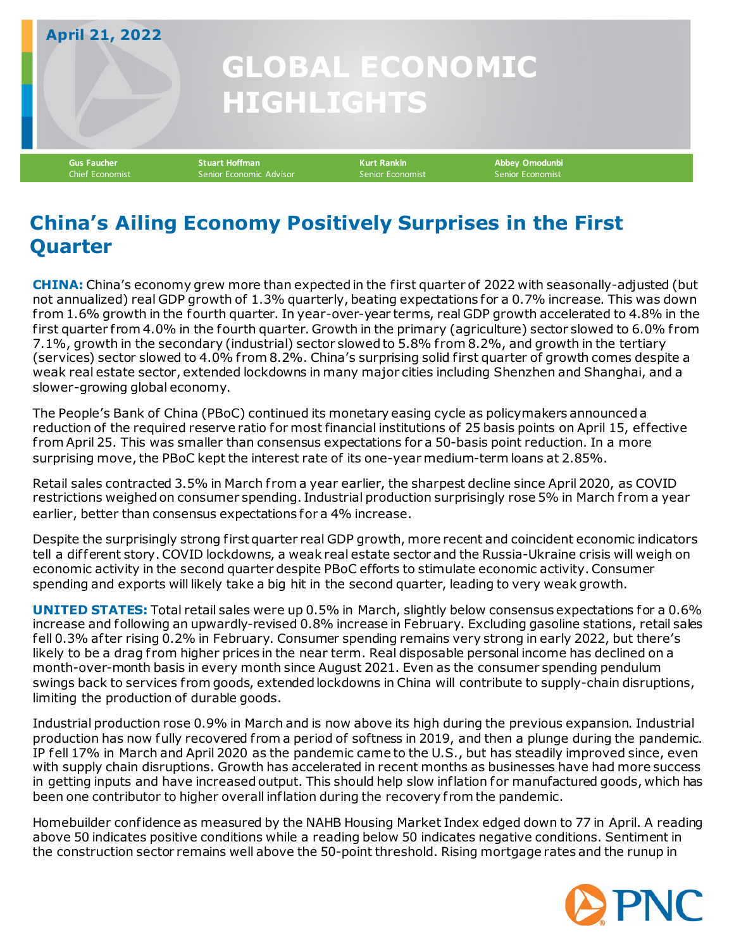## **GLOBAL ECONOMIC HIGHLIGHTS April 21, 2022**

**Gus Faucher Stuart Hoffman Kurt Rankin Abbey Omodunbi** Senior Economic Advisor

## **China's Ailing Economy Positively Surprises in the First Quarter**

**CHINA:** China's economy grew more than expected in the first quarter of 2022 with seasonally-adjusted (but not annualized) real GDP growth of 1.3% quarterly, beating expectations for a 0.7% increase. This was down f rom 1.6% growth in the fourth quarter. In year-over-year terms, real GDP growth accelerated to 4.8% in the first quarter from 4.0% in the fourth quarter. Growth in the primary (agriculture) sector slowed to 6.0% from 7.1%, growth in the secondary (industrial) sector slowed to 5.8% f rom 8.2%, and growth in the tertiary (services) sector slowed to 4.0% f rom 8.2%. China's surprising solid first quarter of growth comes despite a weak real estate sector, extended lockdowns in many major cities including Shenzhen and Shanghai, and a slower-growing global economy.

The People's Bank of China (PBoC) continued its monetary easing cycle as policymakers announced a reduction of the required reserve ratio for most financial institutions of 25 basis points on April 15, ef fective f rom April 25. This was smaller than consensus expectations for a 50-basis point reduction. In a more surprising move, the PBoC kept the interest rate of its one-year medium-term loans at 2.85%.

Retail sales contracted 3.5% in March from a year earlier, the sharpest decline since April 2020, as COVID restrictions weighed on consumer spending. Industrial production surprisingly rose 5% in March from a year earlier, better than consensus expectations for a 4% increase.

Despite the surprisingly strong first quarter real GDP growth, more recent and coincident economic indicators tell a dif ferent story. COVID lockdowns, a weak real estate sector and the Russia-Ukraine crisis will weigh on economic activity in the second quarter despite PBoC efforts to stimulate economic activity. Consumer spending and exports will likely take a big hit in the second quarter, leading to very weak growth.

**UNITED STATES:** Total retail sales were up 0.5% in March, slightly below consensus expectations for a 0.6% increase and following an upwardly-revised 0.8% increase in February. Excluding gasoline stations, retail sales fell 0.3% af ter rising 0.2% in February. Consumer spending remains very strong in early 2022, but there's likely to be a drag from higher prices in the near term. Real disposable personal income has declined on a month-over-month basis in every month since August 2021. Even as the consumer spending pendulum swings back to services from goods, extended lockdowns in China will contribute to supply-chain disruptions, limiting the production of durable goods.

Industrial production rose 0.9% in March and is now above its high during the previous expansion. Industrial production has now fully recovered from a period of softness in 2019, and then a plunge during the pandemic. IP fell 17% in March and April 2020 as the pandemic came to the U.S., but has steadily improved since, even with supply chain disruptions. Growth has accelerated in recent months as businesses have had more success in getting inputs and have increased output. This should help slow inflation for manufactured goods, which has been one contributor to higher overall inflation during the recovery f rom the pandemic.

Homebuilder confidence as measured by the NAHB Housing Market Index edged down to 77 in April. A reading above 50 indicates positive conditions while a reading below 50 indicates negative conditions. Sentiment in the construction sector remains well above the 50-point threshold. Rising mortgage rates and the runup in